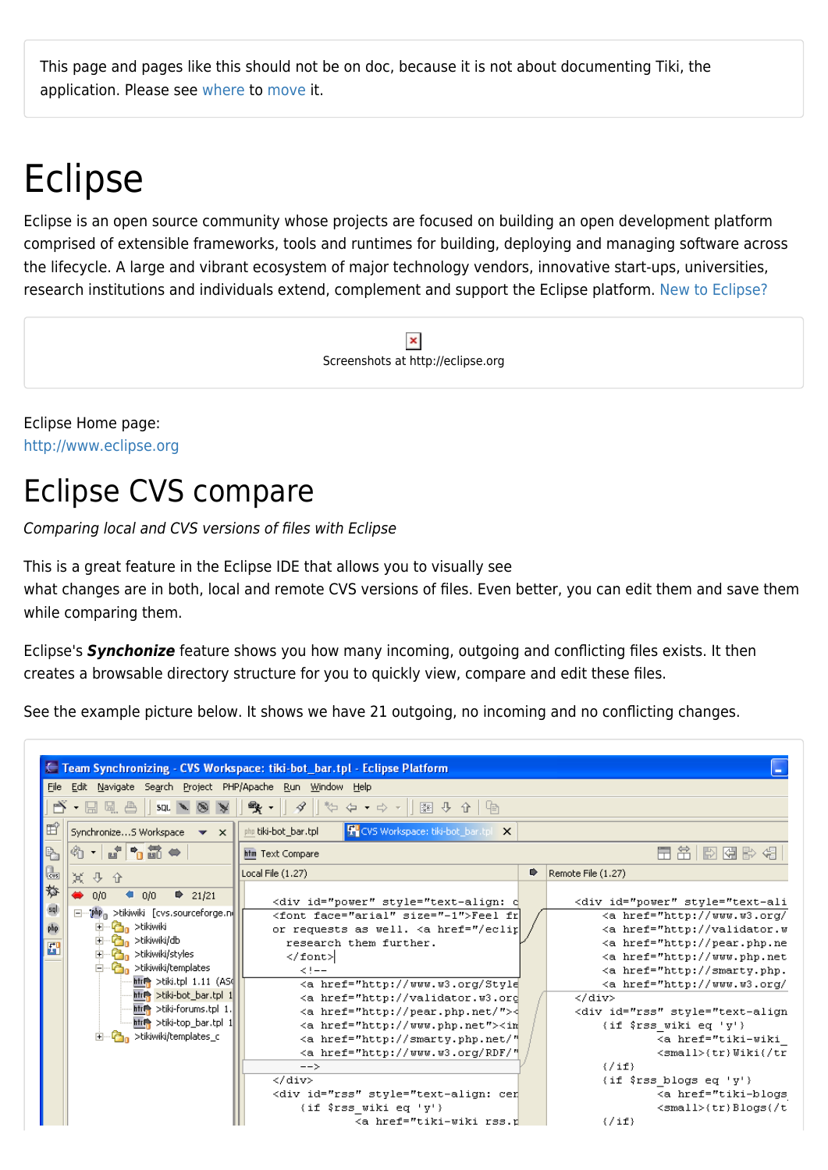This page and pages like this should not be on doc, because it is not about documenting Tiki, the application. Please see [where](http://tiki.org/where) to [move](https://doc.tiki.org/move) it.

## Eclipse

Eclipse is an open source community whose projects are focused on building an open development platform comprised of extensible frameworks, tools and runtimes for building, deploying and managing software across the lifecycle. A large and vibrant ecosystem of major technology vendors, innovative start-ups, universities, research institutions and individuals extend, complement and support the Eclipse platform. [New to Eclipse?](http://www.eclipse.org/home/newcomers.php)

> $\pmb{\times}$ Screenshots at http://eclipse.org

Eclipse Home page: <http://www.eclipse.org>

## Eclipse CVS compare

Comparing local and CVS versions of files with Eclipse

This is a great feature in the Eclipse IDE that allows you to visually see what changes are in both, local and remote CVS versions of files. Even better, you can edit them and save them while comparing them.

Eclipse's *Synchonize* feature shows you how many incoming, outgoing and conflicting files exists. It then creates a browsable directory structure for you to quickly view, compare and edit these files.

See the example picture below. It shows we have 21 outgoing, no incoming and no conflicting changes.

|                                                              | E Team Synchronizing - CVS Workspace: tiki-bot_bar.tpl - Eclipse Platform                                                                                                                                                                                                                                                                                                                                                                                                                                                                                                                                 |                                                                                                                                                                                                                                                                                                                                                                                                                                                                                                                                                                                                                                                                                                                                                                                                                                                                                                                                                                                                                                                                                                                                                                                                                                                                                                                                         | $\overline{\phantom{a}}$ |                                                                                                                                                                                                                                                                                                                                                                                                                                                                                                                                                                                                                                                                  |  |  |  |  |  |
|--------------------------------------------------------------|-----------------------------------------------------------------------------------------------------------------------------------------------------------------------------------------------------------------------------------------------------------------------------------------------------------------------------------------------------------------------------------------------------------------------------------------------------------------------------------------------------------------------------------------------------------------------------------------------------------|-----------------------------------------------------------------------------------------------------------------------------------------------------------------------------------------------------------------------------------------------------------------------------------------------------------------------------------------------------------------------------------------------------------------------------------------------------------------------------------------------------------------------------------------------------------------------------------------------------------------------------------------------------------------------------------------------------------------------------------------------------------------------------------------------------------------------------------------------------------------------------------------------------------------------------------------------------------------------------------------------------------------------------------------------------------------------------------------------------------------------------------------------------------------------------------------------------------------------------------------------------------------------------------------------------------------------------------------|--------------------------|------------------------------------------------------------------------------------------------------------------------------------------------------------------------------------------------------------------------------------------------------------------------------------------------------------------------------------------------------------------------------------------------------------------------------------------------------------------------------------------------------------------------------------------------------------------------------------------------------------------------------------------------------------------|--|--|--|--|--|
| File Edit Navigate Search Project PHP/Apache Run Window Help |                                                                                                                                                                                                                                                                                                                                                                                                                                                                                                                                                                                                           |                                                                                                                                                                                                                                                                                                                                                                                                                                                                                                                                                                                                                                                                                                                                                                                                                                                                                                                                                                                                                                                                                                                                                                                                                                                                                                                                         |                          |                                                                                                                                                                                                                                                                                                                                                                                                                                                                                                                                                                                                                                                                  |  |  |  |  |  |
| n Tungal<br>$SDL \rightarrow \otimes$<br>$\mathbb{R}$        | $\mathscr{S} \parallel \psi \Leftrightarrow \bullet \bullet \star \parallel \mathbb{R} \Downarrow \Phi \Uparrow \blacksquare \blacksquare$<br>$\mathbb{R}$ .                                                                                                                                                                                                                                                                                                                                                                                                                                              |                                                                                                                                                                                                                                                                                                                                                                                                                                                                                                                                                                                                                                                                                                                                                                                                                                                                                                                                                                                                                                                                                                                                                                                                                                                                                                                                         |                          |                                                                                                                                                                                                                                                                                                                                                                                                                                                                                                                                                                                                                                                                  |  |  |  |  |  |
| 雪<br>SynchronizeS Workspace $\bullet \times$                 | 图 CVS Workspace: tiki-bot_bar.tpl X<br>php tiki-bot_bar.tpl                                                                                                                                                                                                                                                                                                                                                                                                                                                                                                                                               |                                                                                                                                                                                                                                                                                                                                                                                                                                                                                                                                                                                                                                                                                                                                                                                                                                                                                                                                                                                                                                                                                                                                                                                                                                                                                                                                         |                          |                                                                                                                                                                                                                                                                                                                                                                                                                                                                                                                                                                                                                                                                  |  |  |  |  |  |
| 1 . 8 . 8 . 8 . 9<br>$\triangleright$                        | htm Text Compare                                                                                                                                                                                                                                                                                                                                                                                                                                                                                                                                                                                          | 用吊 同网 影 相                                                                                                                                                                                                                                                                                                                                                                                                                                                                                                                                                                                                                                                                                                                                                                                                                                                                                                                                                                                                                                                                                                                                                                                                                                                                                                                               |                          |                                                                                                                                                                                                                                                                                                                                                                                                                                                                                                                                                                                                                                                                  |  |  |  |  |  |
| 區<br>其 子 子                                                   | Local File (1.27)                                                                                                                                                                                                                                                                                                                                                                                                                                                                                                                                                                                         | Remote File (1.27)                                                                                                                                                                                                                                                                                                                                                                                                                                                                                                                                                                                                                                                                                                                                                                                                                                                                                                                                                                                                                                                                                                                                                                                                                                                                                                                      |                          |                                                                                                                                                                                                                                                                                                                                                                                                                                                                                                                                                                                                                                                                  |  |  |  |  |  |
| 斡<br>0/0<br>$\bullet$ 0/0<br>$\Rightarrow$ 21/21             | <div id="power" inline"="" power"="" style="text-ali&lt;/th&gt;&lt;/tr&gt;&lt;tr&gt;&lt;th&gt;&lt;math display=">\mathsf{sql}<br/>□… php<sub>n</sub> &gt;tikiwiki [cvs.sourceforge.ni<br/>由 <b>C</b><sub>n</sub> &gt;tikiwiki<br/>php<br/>中 <mark>合</mark> &gt;tikiwiki/db<br/><math display="inline">E^{\prime}</math><br/>-C<sub>n</sub> &gt;tikiwiki/styles<br/>Ė-<br/>□ con &gt;tikiwiki/templates<br/>htree &gt;tiki.tpl <math>1.11</math> (ASC<br/>htre &gt;tiki-bot_bar.tpl 1<br/>htree &gt;tiki-forums.tpl 1.<br/>htree &gt;tiki-top_bar.tpl 1<br/>白…C<sub>n</sub> &gt;tikiwiki/templates_c</div> | <font face="arial" size="-1">Feel fr<br/>or requests as well. <a href="/eclip&lt;br&gt;research them further.&lt;br&gt;&lt;/font&gt;&lt;br&gt;&lt;math&gt;2! - -&lt;/math&gt;&lt;br&gt;&lt;a href=" http:="" style<br="" www.w3.org=""><a "="" href="http://validator.w3.ord&lt;br&gt;&lt;a href=" http:="" pear.php.net="">&lt;<br/><a href="http://www.php.net"><in<br><a <br="" href="http://smarty.php.net/"><a <br="" href="http://www.w3.org/RDF/"><math>--&amp;</math><br/><br/><div id="rss" rss.r<="" style="text-align: cer&lt;br&gt;(if \$rss wiki eq 'y')&lt;br&gt;ka href=" th="" tiki-wiki=""><th></th><th><a href="http://www.w3.org/&lt;br&gt;&lt;a href=" http:="" validator.w<br=""><math>\langle a \rangle</math> href="http://pear.php.ne<br/><a href="http://www.php.net&lt;br&gt;&lt;a href=" http:="" smarty.php.<br=""><a href="http://www.w3.org/&lt;br&gt;&lt;/div&gt;&lt;br&gt;&lt;div id=" rss"="" style="text-align&lt;br&gt;(if \$rss wiki eq 'y')&lt;br&gt;&lt;a href=" tiki-wiki<br=""><math>\langle \texttt{small}\rangle</math>{tr}Wiki{/tr<br/><math>\{7 \text{ if }</math><br/>{if \$rss blogs eq 'y'}<br/>&lt;a href="tiki-blogs&lt;br&gt;<math>\langle \texttt{small}\rangle</math>{tr}Blogs{/t<br/><math>\{\sqrt{i}\mathbf{f}\}</math></a></a></a></th></div></a></a></in<br></a></a></a></font> |                          | <a href="http://www.w3.org/&lt;br&gt;&lt;a href=" http:="" validator.w<br=""><math>\langle a \rangle</math> href="http://pear.php.ne<br/><a href="http://www.php.net&lt;br&gt;&lt;a href=" http:="" smarty.php.<br=""><a href="http://www.w3.org/&lt;br&gt;&lt;/div&gt;&lt;br&gt;&lt;div id=" rss"="" style="text-align&lt;br&gt;(if \$rss wiki eq 'y')&lt;br&gt;&lt;a href=" tiki-wiki<br=""><math>\langle \texttt{small}\rangle</math>{tr}Wiki{/tr<br/><math>\{7 \text{ if }</math><br/>{if \$rss blogs eq 'y'}<br/>&lt;a href="tiki-blogs&lt;br&gt;<math>\langle \texttt{small}\rangle</math>{tr}Blogs{/t<br/><math>\{\sqrt{i}\mathbf{f}\}</math></a></a></a> |  |  |  |  |  |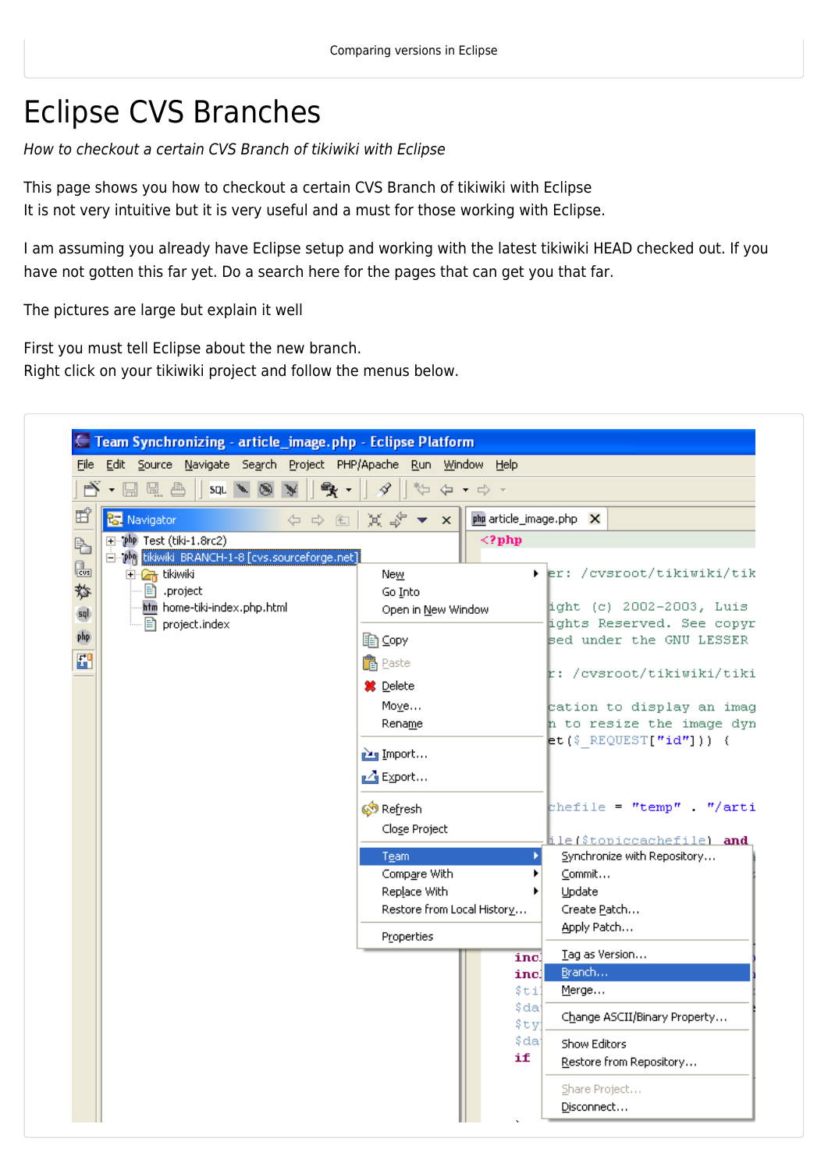## Eclipse CVS Branches

How to checkout a certain CVS Branch of tikiwiki with Eclipse

This page shows you how to checkout a certain CVS Branch of tikiwiki with Eclipse It is not very intuitive but it is very useful and a must for those working with Eclipse.

I am assuming you already have Eclipse setup and working with the latest tikiwiki HEAD checked out. If you have not gotten this far yet. Do a search here for the pages that can get you that far.

The pictures are large but explain it well

First you must tell Eclipse about the new branch. Right click on your tikiwiki project and follow the menus below.

|     |                                                                      |                          |  |  |                           | File Edit Source Navigate Search Project PHP/Apache Run Window Help |                    |                                   |                                         |  |                           |                           |                          |                                                          |
|-----|----------------------------------------------------------------------|--------------------------|--|--|---------------------------|---------------------------------------------------------------------|--------------------|-----------------------------------|-----------------------------------------|--|---------------------------|---------------------------|--------------------------|----------------------------------------------------------|
| PŸ  |                                                                      | ▼ 日 風 色                  |  |  | $SQL \rightarrow \otimes$ | 雪 -                                                                 |                    | 守<br>4                            | $\Leftrightarrow$ + $\Leftrightarrow$ + |  |                           |                           |                          |                                                          |
| 昏   |                                                                      | <b>R</b> Navigator       |  |  |                           | ← ⇒ 图                                                               |                    | $\Join$ $\approx$ $\sim$ $\times$ |                                         |  |                           |                           | php article_image.php X  |                                                          |
| ₽,  |                                                                      | H-Php Test (tiki-1.8rc2) |  |  |                           |                                                                     |                    |                                   |                                         |  | $\langle ? \text{php}$    |                           |                          |                                                          |
| l.  |                                                                      |                          |  |  |                           | Emphp tikiwiki BRANCH-1-8 [cvs.sourceforge.net]                     |                    |                                   |                                         |  |                           |                           |                          |                                                          |
| 斡   |                                                                      | 中 dr tikiwiki            |  |  |                           |                                                                     |                    | New<br>Go Into                    |                                         |  |                           |                           |                          | ▶ Ler: /cvsroot/tikiwiki/tik                             |
|     | 目 .project<br>htm home-tiki-index.php.html<br><b>hemoglect.index</b> |                          |  |  |                           |                                                                     | Open in New Window |                                   |                                         |  |                           |                           | ight (c) 2002-2003, Luis |                                                          |
| sql |                                                                      |                          |  |  |                           |                                                                     |                    |                                   |                                         |  |                           | ights Reserved. See copyr |                          |                                                          |
| php |                                                                      |                          |  |  |                           |                                                                     |                    | A ⊆opy                            |                                         |  |                           |                           |                          | sed under the GNU LESSER                                 |
|     | 亞                                                                    |                          |  |  |                           | <b>亀</b> Paste                                                      |                    |                                   |                                         |  | r: /cvsroot/tikiwiki/tiki |                           |                          |                                                          |
|     |                                                                      |                          |  |  |                           |                                                                     |                    | <b>第</b> Delete                   |                                         |  |                           |                           |                          |                                                          |
|     |                                                                      |                          |  |  |                           |                                                                     |                    | Move                              |                                         |  |                           |                           |                          | cation to display an imag                                |
|     |                                                                      |                          |  |  |                           |                                                                     |                    | Rename                            |                                         |  |                           |                           |                          | n to resize the image dyn<br>$et$ (\$ REQUEST["id"])) {  |
|     |                                                                      |                          |  |  |                           |                                                                     |                    | inport                            |                                         |  |                           |                           |                          |                                                          |
|     |                                                                      |                          |  |  |                           |                                                                     |                    | <b>LA</b> Export                  |                                         |  |                           |                           |                          |                                                          |
|     |                                                                      |                          |  |  |                           |                                                                     |                    | Streetresh                        |                                         |  |                           |                           |                          | chefile "temp" "/arti                                    |
|     |                                                                      |                          |  |  |                           |                                                                     |                    | Close Project                     |                                         |  |                           |                           |                          |                                                          |
|     |                                                                      |                          |  |  |                           |                                                                     |                    | Team                              |                                         |  |                           | ×                         |                          | ile(\$topiccachefile) and<br>Synchronize with Repository |
|     |                                                                      |                          |  |  |                           |                                                                     |                    | Compare With                      |                                         |  |                           |                           | Commit                   |                                                          |
|     |                                                                      |                          |  |  |                           |                                                                     |                    | Replace With                      |                                         |  |                           |                           | Update                   |                                                          |
|     |                                                                      |                          |  |  |                           |                                                                     |                    | Restore from Local History        |                                         |  |                           |                           | Create Patch             |                                                          |
|     |                                                                      |                          |  |  |                           |                                                                     |                    | Properties                        |                                         |  |                           |                           | Apply Patch              |                                                          |
|     |                                                                      |                          |  |  |                           |                                                                     |                    |                                   |                                         |  |                           | incl                      | Tag as Version           |                                                          |
|     |                                                                      |                          |  |  |                           |                                                                     |                    |                                   |                                         |  |                           | incl<br>\$til             | Branch<br>Merge          |                                                          |
|     |                                                                      |                          |  |  |                           |                                                                     |                    |                                   |                                         |  |                           | \$da                      |                          |                                                          |
|     |                                                                      |                          |  |  |                           |                                                                     |                    |                                   |                                         |  |                           | \$ty                      |                          | Change ASCII/Binary Property                             |
|     |                                                                      |                          |  |  |                           |                                                                     |                    |                                   |                                         |  |                           | \$da                      | Show Editors             |                                                          |
|     |                                                                      |                          |  |  |                           |                                                                     |                    |                                   |                                         |  | if                        |                           |                          | Restore from Repository                                  |
|     |                                                                      |                          |  |  |                           |                                                                     |                    |                                   |                                         |  |                           |                           | Share Project            |                                                          |
|     |                                                                      |                          |  |  |                           |                                                                     |                    |                                   |                                         |  |                           |                           | Disconnect               |                                                          |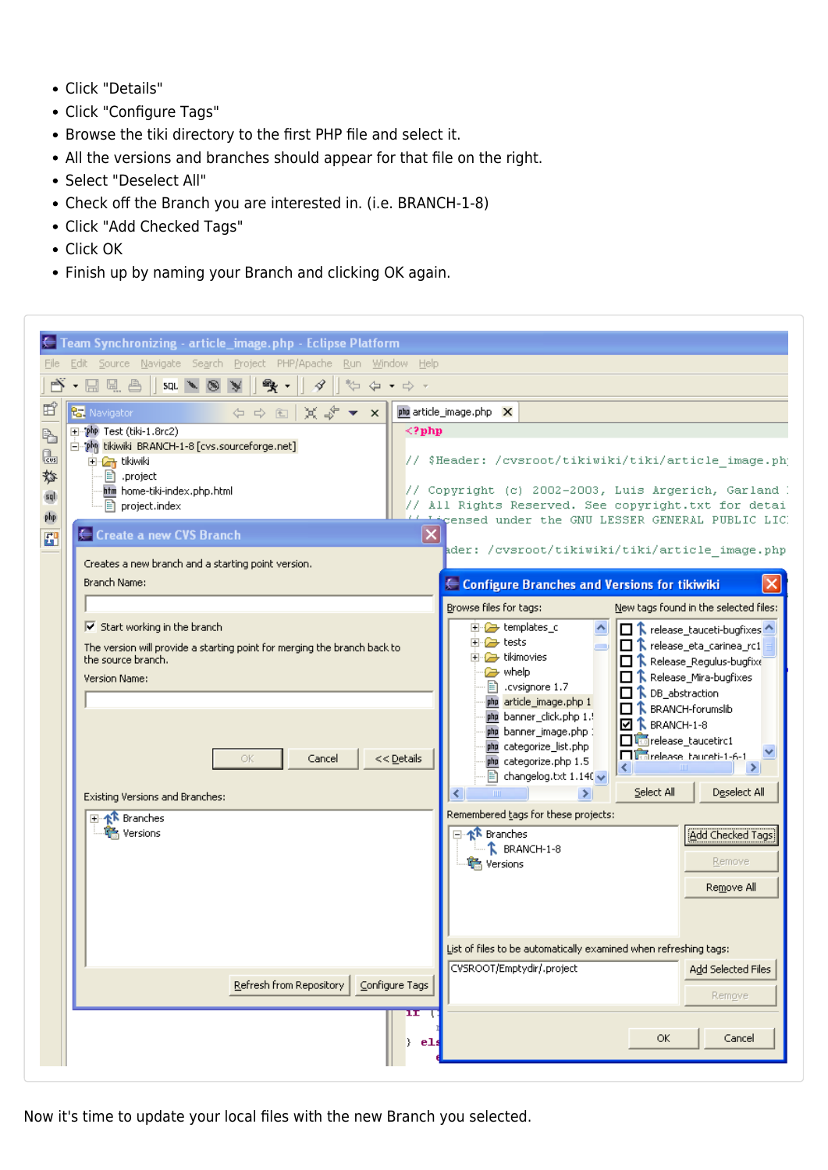- Click "Details"
- Click "Configure Tags"
- Browse the tiki directory to the first PHP file and select it.
- All the versions and branches should appear for that file on the right.
- Select "Deselect All"
- Check off the Branch you are interested in. (i.e. BRANCH-1-8)
- Click "Add Checked Tags"
- Click OK
- Finish up by naming your Branch and clicking OK again.

|                                                                                                                                                                              | Team Synchronizing - article_image.php - Eclipse Platform                |                                                                  |                                                                                                  |                                                                         |  |  |  |  |
|------------------------------------------------------------------------------------------------------------------------------------------------------------------------------|--------------------------------------------------------------------------|------------------------------------------------------------------|--------------------------------------------------------------------------------------------------|-------------------------------------------------------------------------|--|--|--|--|
|                                                                                                                                                                              | Edit Source Navigate Search Project PHP/Apache Run Window Help           |                                                                  |                                                                                                  |                                                                         |  |  |  |  |
| 日風色<br>象<br>SQL & 8<br>4<br>$\frac{1}{2}$ $\frac{1}{2}$ $\frac{1}{2}$ $\frac{1}{2}$ $\frac{1}{2}$ $\frac{1}{2}$ $\frac{1}{2}$ $\frac{1}{2}$ $\frac{1}{2}$ $\frac{1}{2}$<br>¥ |                                                                          |                                                                  |                                                                                                  |                                                                         |  |  |  |  |
| 昏<br><b>R</b> Navigator                                                                                                                                                      | ◆◆国以第▼×                                                                  |                                                                  | php article_image.php X                                                                          |                                                                         |  |  |  |  |
| H-php Test (tiki-1.8rc2)<br>P.                                                                                                                                               |                                                                          | $\langle$ ?php                                                   |                                                                                                  |                                                                         |  |  |  |  |
| l.<br><b>D-C<sub>T</sub></b> tikiwiki                                                                                                                                        | 白 Php tikiwiki BRANCH-1-8 [cvs.sourceforge.net]                          | // \$Header: /cvsroot/tikiwiki/tiki/article_image.php            |                                                                                                  |                                                                         |  |  |  |  |
| 斡<br>目 .project<br>htm home-tiki-index.php.html                                                                                                                              |                                                                          | // Copyright (c) 2002-2003, Luis Argerich, Garland I             |                                                                                                  |                                                                         |  |  |  |  |
| sql<br>project.index                                                                                                                                                         |                                                                          | // All Rights Reserved. See copyright.txt for detai              |                                                                                                  |                                                                         |  |  |  |  |
| php<br>← Create a new CVS Branch<br>6                                                                                                                                        |                                                                          | $\overline{\mathsf{x}}$                                          |                                                                                                  | Licensed under the GNU LESSER GENERAL PUBLIC LIC.                       |  |  |  |  |
|                                                                                                                                                                              |                                                                          |                                                                  |                                                                                                  | ader: /cvsroot/tikiwiki/tiki/article_image.php                          |  |  |  |  |
| Branch Name:                                                                                                                                                                 | Creates a new branch and a starting point version.                       |                                                                  | ← Configure Branches and Versions for tikiwiki                                                   |                                                                         |  |  |  |  |
|                                                                                                                                                                              |                                                                          |                                                                  |                                                                                                  |                                                                         |  |  |  |  |
| $\boxed{\mathsf{v}}$ Start working in the branch                                                                                                                             |                                                                          |                                                                  | Browse files for tags:<br>New tags found in the selected files:<br>田 <mark>-</mark> templates_c  |                                                                         |  |  |  |  |
|                                                                                                                                                                              | The version will provide a starting point for merging the branch back to | 由 <del>企</del> tests                                             | □ ↑ release_tauceti-bugfixes<br>$\Box$ $\uparrow$ release_eta_carinea_rc1                        |                                                                         |  |  |  |  |
| the source branch.                                                                                                                                                           |                                                                          | <b>in</b> 2 tikimovies<br><b>s</b> whelp                         | $\Box$ $\uparrow$ Release_Regulus-bugfixe                                                        |                                                                         |  |  |  |  |
| Version Name:                                                                                                                                                                |                                                                          |                                                                  | ■ cvsignore 1.7                                                                                  | $\Box$ $\uparrow$ Release_Mira-bugfixes<br><b>R</b> DB_abstraction<br>0 |  |  |  |  |
|                                                                                                                                                                              |                                                                          |                                                                  | php article_image.php 1<br>php banner_click.php 1.!                                              | $\Box$ $\hat{\mathbf{k}}$ BRANCH-forumslib                              |  |  |  |  |
|                                                                                                                                                                              |                                                                          |                                                                  | php banner_image.php:                                                                            | $\boxtimes$ <b>T</b> , BRANCH-1-8<br><b>T</b> unrelease_taucetirc1      |  |  |  |  |
|                                                                                                                                                                              | OK<br>Cancel                                                             | php categorize_list.php<br>php categorize.php 1.5                | <b>Diametease</b> haureti-1-6-1                                                                  |                                                                         |  |  |  |  |
|                                                                                                                                                                              |                                                                          | $\equiv$ changelog.txt 1.140 $\sim$                              | Select All<br>Deselect All                                                                       |                                                                         |  |  |  |  |
| Existing Versions and Branches:                                                                                                                                              |                                                                          |                                                                  | $\left\langle \cdot \right\rangle$<br>$\blacksquare$<br>⋗<br>Remembered tags for these projects: |                                                                         |  |  |  |  |
| 田·卡 Branches<br>·် Versions                                                                                                                                                  |                                                                          |                                                                  | <b>E</b> <sup>-</sup> ≮ <sup></sup> <b>R</b> Branches                                            | Add Checked Tags                                                        |  |  |  |  |
|                                                                                                                                                                              |                                                                          |                                                                  | $-\hat{k}$ BRANCH-1-8                                                                            |                                                                         |  |  |  |  |
|                                                                                                                                                                              |                                                                          |                                                                  | <b>鸟</b> Versions                                                                                | Remove                                                                  |  |  |  |  |
|                                                                                                                                                                              |                                                                          |                                                                  |                                                                                                  | Remove All                                                              |  |  |  |  |
|                                                                                                                                                                              |                                                                          |                                                                  |                                                                                                  |                                                                         |  |  |  |  |
|                                                                                                                                                                              |                                                                          | List of files to be automatically examined when refreshing tags: |                                                                                                  |                                                                         |  |  |  |  |
|                                                                                                                                                                              |                                                                          |                                                                  | CVSROOT/Emptydir/.project                                                                        | Add Selected Files                                                      |  |  |  |  |
|                                                                                                                                                                              | Refresh from Repository   Configure Tags                                 |                                                                  |                                                                                                  | Remgve                                                                  |  |  |  |  |
|                                                                                                                                                                              |                                                                          | $\mathbf{H}$                                                     |                                                                                                  |                                                                         |  |  |  |  |
|                                                                                                                                                                              |                                                                          |                                                                  |                                                                                                  | OK.<br>Cancel                                                           |  |  |  |  |
|                                                                                                                                                                              |                                                                          | }.<br>e1:                                                        |                                                                                                  |                                                                         |  |  |  |  |

Now it's time to update your local files with the new Branch you selected.